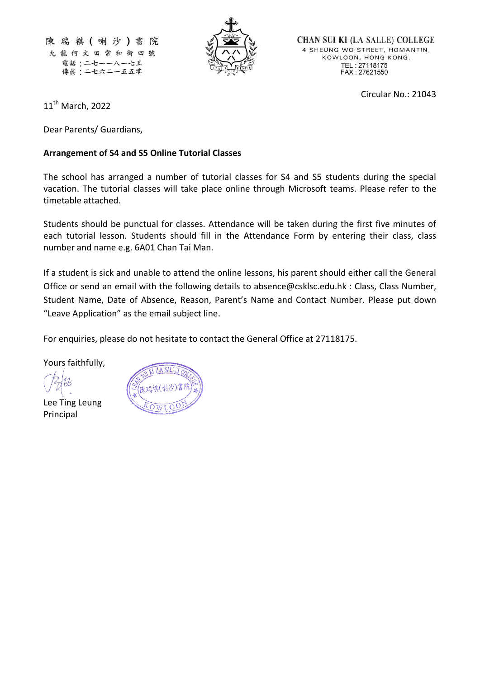陳瑞祺(喇沙)書院 九龍何文田常和街四號 電話:二七一一八一七五 傳眞:二七六二一五五零



**CHAN SUI KI (LA SALLE) COLLEGE** 4 SHEUNG WO STREET, HOMANTIN, KOWLOON, HONG KONG. TEL: 27118175<br>FAX: 27621550

Circular No.: 21043

11<sup>th</sup> March, 2022

Dear Parents/ Guardians,

### **Arrangement of S4 and S5 Online Tutorial Classes**

The school has arranged a number of tutorial classes for S4 and S5 students during the special vacation. The tutorial classes will take place online through Microsoft teams. Please refer to the timetable attached.

Students should be punctual for classes. Attendance will be taken during the first five minutes of each tutorial lesson. Students should fill in the Attendance Form by entering their class, class number and name e.g. 6A01 Chan Tai Man.

If a student is sick and unable to attend the online lessons, his parent should either call the General Office or send an email with the following details to [absence@csklsc.edu.hk](mailto:absence@csklsc.edu.hk) : Class, Class Number, Student Name, Date of Absence, Reason, Parent's Name and Contact Number. Please put down "Leave Application" as the email subject line.

For enquiries, please do not hesitate to contact the General Office at 27118175.

Yours faithfully,

Lee Ting Leung Principal

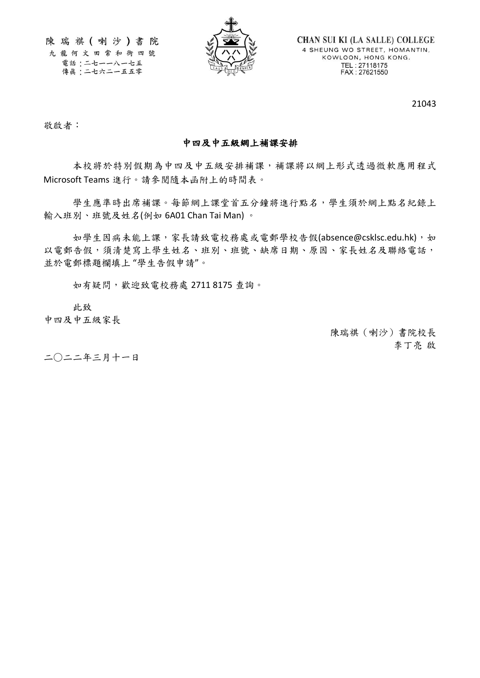陳瑞祺(喇沙)書院 九龍何文田常和街四號 電話:二七一一八一七五 傳眞:二七六二一五五零



**CHAN SUI KI (LA SALLE) COLLEGE** 4 SHEUNG WO STREET, HOMANTIN, KOWLOON, HONG KONG. TEL: 27118175<br>FAX: 27621550

21043

故啟者: またま アンディアング あんしゃ かんしゃ あんしゃ かんしゃ かんしゅう かいしゅう しゅうかい しゅうかい しゅうかい しゅうかい しゅうかい

### 中四及中五級網上補課安排

 本校將於特別假期為中四及中五級安排補課,補課將以網上形式透過微軟應用程式 Microsoft Teams 進行。請參閱隨本函附上的時間表。

學生應準時出席補課。每節網上課堂首五分鐘將進行點名,學生須於網上點名紀錄上 輸入班別、班號及姓名(例如 6A01 Chan Tai Man) 。

如學生因病未能上課,家長請致電校務處或電郵學校告假(absence@csklsc.edu.hk),如 以電郵告假,須清楚寫上學生姓名、班別、班號、缺席日期、原因、家長姓名及聯絡電話, 並於電郵標題欄填上 "學生告假申請"。

如有疑問,歡迎致電校務處 2711 8175 查詢。

此致

中四及中五級家長

陳瑞祺(喇沙)書院校長 李丁亮 啟

二○二二年三月十一日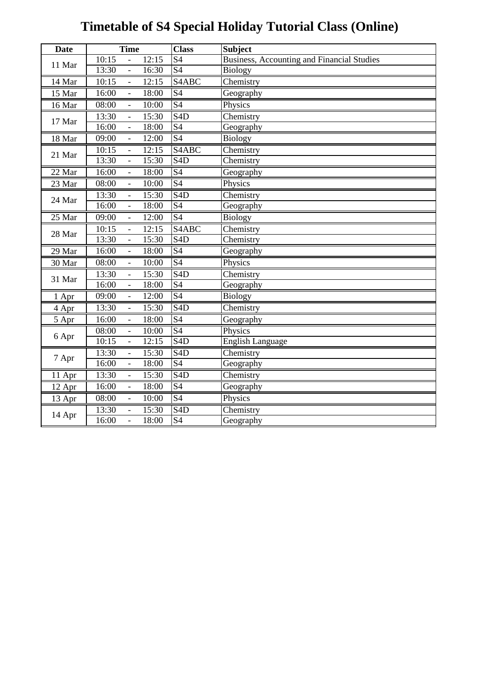# **Timetable of S4 Special Holiday Tutorial Class (Online)**

| <b>Date</b> | <b>Time</b>                                | <b>Class</b>               | <b>Subject</b>                             |
|-------------|--------------------------------------------|----------------------------|--------------------------------------------|
| 11 Mar      | 10:15<br>12:15                             | $\overline{S4}$            | Business, Accounting and Financial Studies |
|             | 13:30<br>16:30<br>$\blacksquare$           | <b>S4</b>                  | <b>Biology</b>                             |
| 14 Mar      | 10:15<br>12:15<br>$\overline{\phantom{a}}$ | S <sub>4</sub> ABC         | Chemistry                                  |
| 15 Mar      | 16:00<br>18:00                             | S <sub>4</sub>             | Geography                                  |
| 16 Mar      | 08:00<br>10:00                             | $\overline{S4}$            | Physics                                    |
| 17 Mar      | 13:30<br>15:30<br>$\overline{\phantom{a}}$ | $\overline{S}$ 4D          | Chemistry                                  |
|             | 16:00<br>18:00<br>$\overline{\phantom{a}}$ | S <sub>4</sub>             | Geography                                  |
| 18 Mar      | 09:00<br>12:00<br>$\mathbb{L}^+$           | S <sub>4</sub>             | <b>Biology</b>                             |
| 21 Mar      | 10:15<br>12:15                             | S <sub>4</sub> ABC         | Chemistry                                  |
|             | 13:30<br>15:30                             | S4D                        | Chemistry                                  |
| 22 Mar      | 16:00<br>18:00<br>$\overline{\phantom{a}}$ | $\overline{S4}$            | Geography                                  |
| 23 Mar      | 08:00<br>10:00<br>$\blacksquare$           | S <sub>4</sub>             | Physics                                    |
| 24 Mar      | 15:30<br>13:30<br>$\overline{\phantom{a}}$ | S <sub>4</sub> D           | Chemistry                                  |
|             | 16:00<br>18:00<br>$\Box$                   | S <sub>4</sub>             | Geography                                  |
| 25 Mar      | 09:00<br>12:00                             | $\overline{S4}$            | <b>Biology</b>                             |
| 28 Mar      | 10:15<br>12:15<br>$\blacksquare$           | $\overline{\text{S}}$ 4ABC | Chemistry                                  |
|             | 13:30<br>15:30<br>$\blacksquare$           | S <sub>4</sub> D           | Chemistry                                  |
| 29 Mar      | 16:00<br>18:00<br>$\Box$                   | S <sub>4</sub>             | Geography                                  |
| 30 Mar      | 08:00<br>10:00<br>$\Box$                   | S <sub>4</sub>             | Physics                                    |
| 31 Mar      | 13:30<br>15:30                             | S4D                        | Chemistry                                  |
|             | 16:00<br>18:00<br>$\overline{\phantom{a}}$ | S <sub>4</sub>             | Geography                                  |
| 1 Apr       | 09:00<br>12:00<br>$\blacksquare$           | S <sub>4</sub>             | <b>Biology</b>                             |
| 4 Apr       | 13:30<br>15:30<br>$\Box$                   | S4D                        | Chemistry                                  |
| 5 Apr       | 16:00<br>18:00<br>$\overline{\phantom{a}}$ | S <sub>4</sub>             | Geography                                  |
| 6 Apr       | 08:00<br>10:00                             | S <sub>4</sub>             | Physics                                    |
|             | 10:15<br>12:15<br>$\overline{a}$           | S4D                        | <b>English Language</b>                    |
| 7 Apr       | 13:30<br>15:30                             | $\overline{\text{S4D}}$    | Chemistry                                  |
|             | 16:00<br>18:00<br>$\blacksquare$           | S <sub>4</sub>             | Geography                                  |
| 11 Apr      | 13:30<br>15:30<br>$\overline{\phantom{a}}$ | S4D                        | Chemistry                                  |
| 12 Apr      | 16:00<br>18:00<br>$\mathbb{L}$             | S <sub>4</sub>             | Geography                                  |
| 13 Apr      | 08:00<br>10:00                             | S <sub>4</sub>             | Physics                                    |
| 14 Apr      | 13:30<br>15:30<br>$\blacksquare$           | S4D                        | Chemistry                                  |
|             | 16:00<br>18:00<br>$\overline{\phantom{a}}$ | S <sub>4</sub>             | Geography                                  |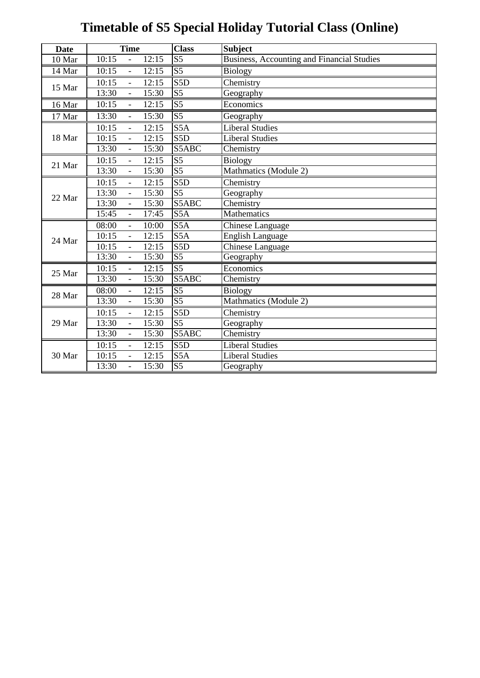# **Timetable of S5 Special Holiday Tutorial Class (Online)**

| <b>Date</b> | <b>Time</b>                                | <b>Class</b>      | <b>Subject</b>                                    |
|-------------|--------------------------------------------|-------------------|---------------------------------------------------|
| 10 Mar      | 10:15<br>12:15                             | $\overline{S5}$   | <b>Business, Accounting and Financial Studies</b> |
| 14 Mar      | 10:15<br>12:15<br>$\blacksquare$           | S <sub>5</sub>    | <b>Biology</b>                                    |
| 15 Mar      | 10:15<br>12:15<br>$\overline{\phantom{0}}$ | S5D               | Chemistry                                         |
|             | 13:30<br>15:30<br>$\blacksquare$           | S <sub>5</sub>    | Geography                                         |
| 16 Mar      | 10:15<br>12:15<br>$\overline{a}$           | $\overline{S5}$   | Economics                                         |
| 17 Mar      | 13:30<br>15:30<br>$\frac{1}{2}$            | $\overline{S5}$   | Geography                                         |
|             | 10:15<br>12:15<br>$\overline{\phantom{a}}$ | S5A               | <b>Liberal Studies</b>                            |
| 18 Mar      | 10:15<br>12:15<br>$\overline{a}$           | S5D               | <b>Liberal Studies</b>                            |
|             | 13:30<br>15:30<br>$\overline{a}$           | S5ABC             | Chemistry                                         |
| 21 Mar      | 10:15<br>12:15<br>$\overline{\phantom{0}}$ | $\overline{S5}$   | <b>Biology</b>                                    |
|             | 13:30<br>15:30                             | $\overline{S5}$   | Mathmatics (Module 2)                             |
|             | 10:15<br>12:15<br>$\overline{a}$           | S5D               | Chemistry                                         |
| 22 Mar      | 13:30<br>15:30                             | S <sub>5</sub>    | Geography                                         |
|             | 13:30<br>15:30<br>$\equiv$                 | S5ABC             | Chemistry                                         |
|             | 15:45<br>17:45<br>$\overline{a}$           | S5A               | <b>Mathematics</b>                                |
|             | 08:00<br>10:00<br>$\equiv$                 | S <sub>5</sub> A  | Chinese Language                                  |
| 24 Mar      | 12:15<br>10:15                             | S5A               | <b>English Language</b>                           |
|             | 10:15<br>12:15                             | $\overline{S}$ 5D | Chinese Language                                  |
|             | 13:30<br>15:30<br>$\equiv$                 | S <sub>5</sub>    | Geography                                         |
| 25 Mar      | 10:15<br>12:15<br>$\overline{a}$           | $\overline{S5}$   | Economics                                         |
|             | 13:30<br>15:30<br>$\overline{a}$           | S5ABC             | Chemistry                                         |
| 28 Mar      | 08:00<br>12:15<br>$\overline{a}$           | $\overline{S5}$   | <b>Biology</b>                                    |
|             | 13:30<br>15:30<br>$\equiv$                 | $\overline{S5}$   | Mathmatics (Module 2)                             |
|             | 10:15<br>12:15<br>$\blacksquare$           | S5D               | Chemistry                                         |
| 29 Mar      | 13:30<br>15:30<br>$\overline{\phantom{a}}$ | S <sub>5</sub>    | Geography                                         |
|             | 13:30<br>15:30<br>$\overline{a}$           | S5ABC             | Chemistry                                         |
| 30 Mar      | 10:15<br>12:15<br>$\overline{\phantom{a}}$ | S <sub>5</sub> D  | <b>Liberal Studies</b>                            |
|             | 10:15<br>12:15<br>$\overline{a}$           | S5A               | <b>Liberal Studies</b>                            |
|             | 13:30<br>15:30<br>$\overline{a}$           | $\overline{S5}$   | Geography                                         |